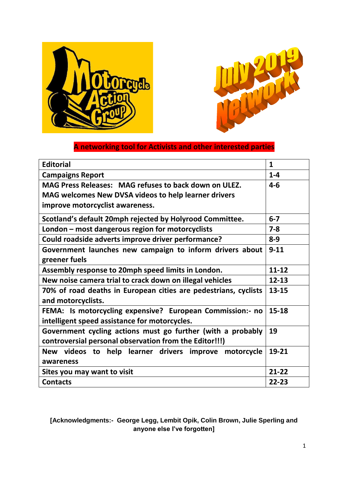



# **A networking tool for Activists and other interested parties**

| <b>Editorial</b>                                                                                                      | $\mathbf{1}$ |  |  |
|-----------------------------------------------------------------------------------------------------------------------|--------------|--|--|
| <b>Campaigns Report</b>                                                                                               | $1 - 4$      |  |  |
| MAG Press Releases: MAG refuses to back down on ULEZ.                                                                 | $4 - 6$      |  |  |
| MAG welcomes New DVSA videos to help learner drivers                                                                  |              |  |  |
| improve motorcyclist awareness.                                                                                       |              |  |  |
| Scotland's default 20mph rejected by Holyrood Committee.                                                              | $6 - 7$      |  |  |
| London – most dangerous region for motorcyclists                                                                      | $7 - 8$      |  |  |
| Could roadside adverts improve driver performance?                                                                    | $8-9$        |  |  |
| Government launches new campaign to inform drivers about                                                              | $9 - 11$     |  |  |
| greener fuels                                                                                                         |              |  |  |
| Assembly response to 20mph speed limits in London.                                                                    | $11 - 12$    |  |  |
| New noise camera trial to crack down on illegal vehicles                                                              | $12 - 13$    |  |  |
| 70% of road deaths in European cities are pedestrians, cyclists<br>and motorcyclists.                                 | $13 - 15$    |  |  |
| FEMA: Is motorcycling expensive? European Commission:- no<br>intelligent speed assistance for motorcycles.            | $15 - 18$    |  |  |
| Government cycling actions must go further (with a probably<br>controversial personal observation from the Editor!!!) | 19           |  |  |
| New videos to help learner drivers improve motorcycle<br>awareness                                                    | 19-21        |  |  |
| Sites you may want to visit                                                                                           | $21 - 22$    |  |  |
| <b>Contacts</b>                                                                                                       | $22 - 23$    |  |  |

### **[Acknowledgments:- George Legg, Lembit Opik, Colin Brown, Julie Sperling and anyone else I've forgotten]**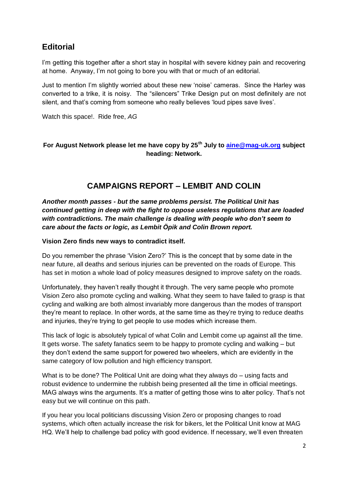# **Editorial**

I'm getting this together after a short stay in hospital with severe kidney pain and recovering at home. Anyway, I"m not going to bore you with that or much of an editorial.

Just to mention I"m slightly worried about these new "noise" cameras. Since the Harley was converted to a trike, it is noisy. The "silencers" Trike Design put on most definitely are not silent, and that's coming from someone who really believes 'loud pipes save lives'.

Watch this space!. Ride free, *AG*

#### **For August Network please let me have copy by 25th July to [aine@mag-uk.org](mailto:aine@mag-uk.org) subject heading: Network.**

# **CAMPAIGNS REPORT – LEMBIT AND COLIN**

*Another month passes - but the same problems persist. The Political Unit has continued getting in deep with the fight to oppose useless regulations that are loaded with contradictions. The main challenge is dealing with people who don't seem to care about the facts or logic, as Lembit Öpik and Colin Brown report.* 

#### **Vision Zero finds new ways to contradict itself.**

Do you remember the phrase "Vision Zero?" This is the concept that by some date in the near future, all deaths and serious injuries can be prevented on the roads of Europe. This has set in motion a whole load of policy measures designed to improve safety on the roads.

Unfortunately, they haven"t really thought it through. The very same people who promote Vision Zero also promote cycling and walking. What they seem to have failed to grasp is that cycling and walking are both almost invariably more dangerous than the modes of transport they"re meant to replace. In other words, at the same time as they"re trying to reduce deaths and injuries, they"re trying to get people to use modes which increase them.

This lack of logic is absolutely typical of what Colin and Lembit come up against all the time. It gets worse. The safety fanatics seem to be happy to promote cycling and walking – but they don"t extend the same support for powered two wheelers, which are evidently in the same category of low pollution and high efficiency transport.

What is to be done? The Political Unit are doing what they always do – using facts and robust evidence to undermine the rubbish being presented all the time in official meetings. MAG always wins the arguments. It's a matter of getting those wins to alter policy. That's not easy but we will continue on this path.

If you hear you local politicians discussing Vision Zero or proposing changes to road systems, which often actually increase the risk for bikers, let the Political Unit know at MAG HQ. We"ll help to challenge bad policy with good evidence. If necessary, we"ll even threaten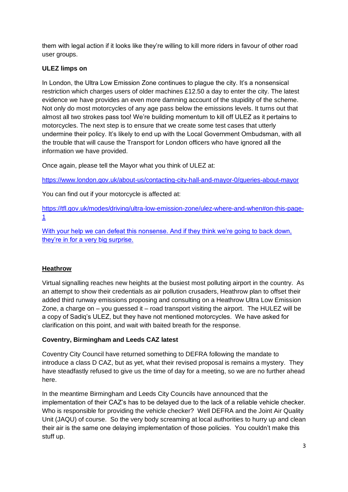them with legal action if it looks like they"re willing to kill more riders in favour of other road user groups.

#### **ULEZ limps on**

In London, the Ultra Low Emission Zone continues to plague the city. It's a nonsensical restriction which charges users of older machines £12.50 a day to enter the city. The latest evidence we have provides an even more damning account of the stupidity of the scheme. Not only do most motorcycles of any age pass below the emissions levels. It turns out that almost all two strokes pass too! We"re building momentum to kill off ULEZ as it pertains to motorcycles. The next step is to ensure that we create some test cases that utterly undermine their policy. It"s likely to end up with the Local Government Ombudsman, with all the trouble that will cause the Transport for London officers who have ignored all the information we have provided.

Once again, please tell the Mayor what you think of ULEZ at:

<https://www.london.gov.uk/about-us/contacting-city-hall-and-mayor-0/queries-about-mayor>

You can find out if your motorcycle is affected at:

[https://tfl.gov.uk/modes/driving/ultra-low-emission-zone/ulez-where-and-when#on-this-page-](https://tfl.gov.uk/modes/driving/ultra-low-emission-zone/ulez-where-and-when#on-this-page-1)[1](https://tfl.gov.uk/modes/driving/ultra-low-emission-zone/ulez-where-and-when#on-this-page-1)

With your help we can defeat this nonsense. And if they think we're going to back down, they"re in for a very big surprise.

#### **Heathrow**

Virtual signalling reaches new heights at the busiest most polluting airport in the country. As an attempt to show their credentials as air pollution crusaders, Heathrow plan to offset their added third runway emissions proposing and consulting on a Heathrow Ultra Low Emission Zone, a charge on  $-$  you guessed it  $-$  road transport visiting the airport. The HULEZ will be a copy of Sadiq"s ULEZ, but they have not mentioned motorcycles. We have asked for clarification on this point, and wait with baited breath for the response.

#### **Coventry, Birmingham and Leeds CAZ latest**

Coventry City Council have returned something to DEFRA following the mandate to introduce a class D CAZ, but as yet, what their revised proposal is remains a mystery. They have steadfastly refused to give us the time of day for a meeting, so we are no further ahead here.

In the meantime Birmingham and Leeds City Councils have announced that the implementation of their CAZ"s has to be delayed due to the lack of a reliable vehicle checker. Who is responsible for providing the vehicle checker? Well DEFRA and the Joint Air Quality Unit (JAQU) of course. So the very body screaming at local authorities to hurry up and clean their air is the same one delaying implementation of those policies. You couldn"t make this stuff up.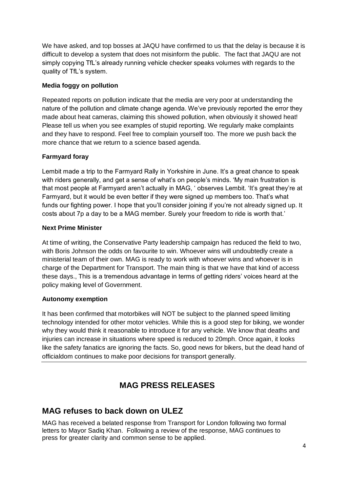We have asked, and top bosses at JAQU have confirmed to us that the delay is because it is difficult to develop a system that does not misinform the public. The fact that JAQU are not simply copying TfL's already running vehicle checker speaks volumes with regards to the quality of TfL"s system.

#### **Media foggy on pollution**

Repeated reports on pollution indicate that the media are very poor at understanding the nature of the pollution and climate change agenda. We"ve previously reported the error they made about heat cameras, claiming this showed pollution, when obviously it showed heat! Please tell us when you see examples of stupid reporting. We regularly make complaints and they have to respond. Feel free to complain yourself too. The more we push back the more chance that we return to a science based agenda.

#### **Farmyard foray**

Lembit made a trip to the Farmyard Rally in Yorkshire in June. It's a great chance to speak with riders generally, and get a sense of what's on people's minds. 'My main frustration is that most people at Farmyard aren't actually in MAG, ' observes Lembit. 'It's great they're at Farmyard, but it would be even better if they were signed up members too. That"s what funds our fighting power. I hope that you'll consider joining if you're not already signed up. It costs about 7p a day to be a MAG member. Surely your freedom to ride is worth that."

#### **Next Prime Minister**

At time of writing, the Conservative Party leadership campaign has reduced the field to two, with Boris Johnson the odds on favourite to win. Whoever wins will undoubtedly create a ministerial team of their own. MAG is ready to work with whoever wins and whoever is in charge of the Department for Transport. The main thing is that we have that kind of access these days., This is a tremendous advantage in terms of getting riders" voices heard at the policy making level of Government.

#### **Autonomy exemption**

It has been confirmed that motorbikes will NOT be subject to the planned speed limiting technology intended for other motor vehicles. While this is a good step for biking, we wonder why they would think it reasonable to introduce it for any vehicle. We know that deaths and injuries can increase in situations where speed is reduced to 20mph. Once again, it looks like the safety fanatics are ignoring the facts. So, good news for bikers, but the dead hand of officialdom continues to make poor decisions for transport generally.

# **MAG PRESS RELEASES**

# **MAG refuses to back down on ULEZ**

MAG has received a belated response from Transport for London following two formal letters to Mayor Sadiq Khan. Following a review of the response, MAG continues to press for greater clarity and common sense to be applied.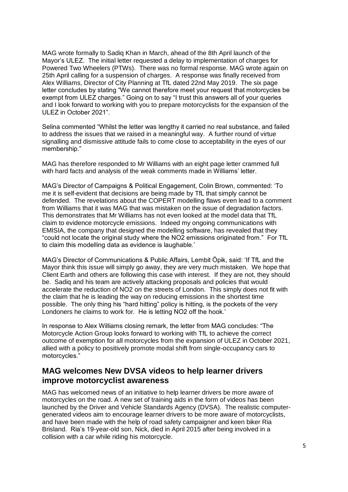MAG wrote formally to Sadiq Khan in March, ahead of the 8th April launch of the Mayor"s ULEZ. The initial letter requested a delay to implementation of charges for Powered Two Wheelers (PTWs). There was no formal response. MAG wrote again on 25th April calling for a suspension of charges. A response was finally received from Alex Williams, Director of City Planning at TfL dated 22nd May 2019. The six page letter concludes by stating "We cannot therefore meet your request that motorcycles be exempt from ULEZ charges." Going on to say "I trust this answers all of your queries and I look forward to working with you to prepare motorcyclists for the expansion of the ULEZ in October 2021".

Selina commented "Whilst the letter was lengthy it carried no real substance, and failed to address the issues that we raised in a meaningful way. A further round of virtue signalling and dismissive attitude fails to come close to acceptability in the eyes of our membership."

MAG has therefore responded to Mr Williams with an eight page letter crammed full with hard facts and analysis of the weak comments made in Williams' letter.

MAG"s Director of Campaigns & Political Engagement, Colin Brown, commented: "To me it is self-evident that decisions are being made by TfL that simply cannot be defended. The revelations about the COPERT modelling flaws even lead to a comment from Williams that it was MAG that was mistaken on the issue of degradation factors. This demonstrates that Mr Williams has not even looked at the model data that TfL claim to evidence motorcycle emissions. Indeed my ongoing communications with EMISIA, the company that designed the modelling software, has revealed that they "could not locate the original study where the NO2 emissions originated from." For TfL to claim this modelling data as evidence is laughable."

MAG"s Director of Communications & Public Affairs, Lembit Öpik, said: "If TfL and the Mayor think this issue will simply go away, they are very much mistaken. We hope that Client Earth and others are following this case with interest. If they are not, they should be. Sadiq and his team are actively attacking proposals and policies that would accelerate the reduction of NO2 on the streets of London. This simply does not fit with the claim that he is leading the way on reducing emissions in the shortest time possible. The only thing his "hard hitting" policy is hitting, is the pockets of the very Londoners he claims to work for. He is letting NO2 off the hook.'

In response to Alex Williams closing remark, the letter from MAG concludes: "The Motorcycle Action Group looks forward to working with TfL to achieve the correct outcome of exemption for all motorcycles from the expansion of ULEZ in October 2021, allied with a policy to positively promote modal shift from single-occupancy cars to motorcycles."

# **MAG welcomes New DVSA videos to help learner drivers improve motorcyclist awareness**

MAG has welcomed news of an initiative to help learner drivers be more aware of motorcycles on the road. A new set of training aids in the form of videos has been launched by the Driver and Vehicle Standards Agency (DVSA). The realistic computergenerated videos aim to encourage learner drivers to be more aware of motorcyclists, and have been made with the help of road safety campaigner and keen biker Ria Brisland. Ria"s 19-year-old son, Nick, died in April 2015 after being involved in a collision with a car while riding his motorcycle.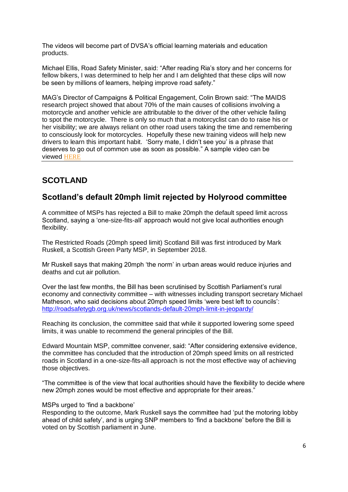The videos will become part of DVSA"s official learning materials and education products.

Michael Ellis, Road Safety Minister, said: "After reading Ria"s story and her concerns for fellow bikers, I was determined to help her and I am delighted that these clips will now be seen by millions of learners, helping improve road safety."

MAG"s Director of Campaigns & Political Engagement, Colin Brown said: "The MAIDS research project showed that about 70% of the main causes of collisions involving a motorcycle and another vehicle are attributable to the driver of the other vehicle failing to spot the motorcycle. There is only so much that a motorcyclist can do to raise his or her visibility; we are always reliant on other road users taking the time and remembering to consciously look for motorcycles. Hopefully these new training videos will help new drivers to learn this important habit. "Sorry mate, I didn"t see you" is a phrase that deserves to go out of common use as soon as possible." A sample video can be viewed [HERE](https://youtu.be/tcNT83m4VGU)

# **SCOTLAND**

# **Scotland's default 20mph limit rejected by Holyrood committee**

A committee of MSPs has rejected a Bill to make 20mph the default speed limit across Scotland, saying a "one-size-fits-all" approach would not give local authorities enough flexibility.

The Restricted Roads (20mph speed limit) Scotland Bill was first introduced by Mark Ruskell, a Scottish Green Party MSP, in September 2018.

Mr Ruskell says that making 20mph "the norm" in urban areas would reduce injuries and deaths and cut air pollution.

Over the last few months, the Bill has been scrutinised by Scottish Parliament"s rural economy and connectivity committee – with witnesses including transport secretary Michael Matheson, who said decisions about 20mph speed limits 'were best left to councils': <http://roadsafetygb.org.uk/news/scotlands-default-20mph-limit-in-jeopardy/>

Reaching its conclusion, the committee said that while it supported lowering some speed limits, it was unable to recommend the general principles of the Bill.

Edward Mountain MSP, committee convener, said: "After considering extensive evidence, the committee has concluded that the introduction of 20mph speed limits on all restricted roads in Scotland in a one-size-fits-all approach is not the most effective way of achieving those objectives.

"The committee is of the view that local authorities should have the flexibility to decide where new 20mph zones would be most effective and appropriate for their areas."

#### MSPs urged to 'find a backbone'

Responding to the outcome, Mark Ruskell says the committee had "put the motoring lobby ahead of child safety", and is urging SNP members to "find a backbone" before the Bill is voted on by Scottish parliament in June.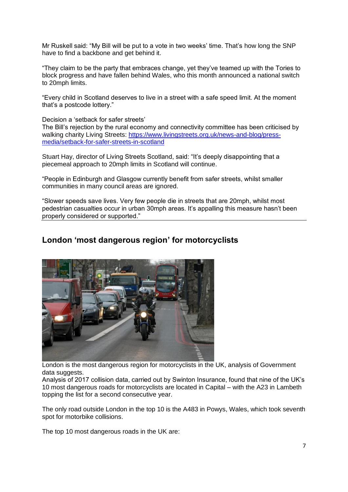Mr Ruskell said: "My Bill will be put to a vote in two weeks" time. That"s how long the SNP have to find a backbone and get behind it.

"They claim to be the party that embraces change, yet they"ve teamed up with the Tories to block progress and have fallen behind Wales, who this month announced a national switch to 20mph limits.

"Every child in Scotland deserves to live in a street with a safe speed limit. At the moment that"s a postcode lottery."

Decision a 'setback for safer streets'

The Bill"s rejection by the rural economy and connectivity committee has been criticised by walking charity Living Streets: [https://www.livingstreets.org.uk/news-and-blog/press](https://www.livingstreets.org.uk/news-and-blog/press-media/setback-for-safer-streets-in-scotland)[media/setback-for-safer-streets-in-scotland](https://www.livingstreets.org.uk/news-and-blog/press-media/setback-for-safer-streets-in-scotland)

Stuart Hay, director of Living Streets Scotland, said: "It"s deeply disappointing that a piecemeal approach to 20mph limits in Scotland will continue.

"People in Edinburgh and Glasgow currently benefit from safer streets, whilst smaller communities in many council areas are ignored.

"Slower speeds save lives. Very few people die in streets that are 20mph, whilst most pedestrian casualties occur in urban 30mph areas. It"s appalling this measure hasn"t been properly considered or supported."

# **London 'most dangerous region' for motorcyclists**



London is the most dangerous region for motorcyclists in the UK, analysis of Government data suggests.

Analysis of 2017 collision data, carried out by Swinton Insurance, found that nine of the UK"s 10 most dangerous roads for motorcyclists are located in Capital – with the A23 in Lambeth topping the list for a second consecutive year.

The only road outside London in the top 10 is the A483 in Powys, Wales, which took seventh spot for motorbike collisions.

The top 10 most dangerous roads in the UK are: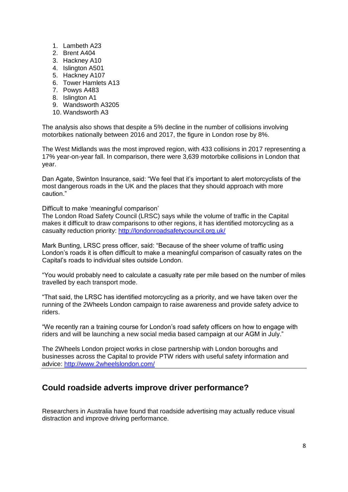- 1. Lambeth A23
- 2. Brent A404
- 3. Hackney A10
- 4. Islington A501
- 5. Hackney A107
- 6. Tower Hamlets A13
- 7. Powys A483
- 8. Islington A1
- 9. Wandsworth A3205
- 10. Wandsworth A3

The analysis also shows that despite a 5% decline in the number of collisions involving motorbikes nationally between 2016 and 2017, the figure in London rose by 8%.

The West Midlands was the most improved region, with 433 collisions in 2017 representing a 17% year-on-year fall. In comparison, there were 3,639 motorbike collisions in London that year.

Dan Agate, Swinton Insurance, said: "We feel that it's important to alert motorcyclists of the most dangerous roads in the UK and the places that they should approach with more caution."

Difficult to make 'meaningful comparison'

The [London Road Safety Council \(LRSC\)](http://londonroadsafetycouncil.org.uk/) says while the volume of traffic in the Capital makes it difficult to draw comparisons to other regions, it has identified motorcycling as a casualty reduction priority:<http://londonroadsafetycouncil.org.uk/>

Mark Bunting, LRSC press officer, said: "Because of the sheer volume of traffic using London"s roads it is often difficult to make a meaningful comparison of casualty rates on the Capital"s roads to individual sites outside London.

"You would probably need to calculate a casualty rate per mile based on the number of miles travelled by each transport mode.

"That said, the LRSC has identified motorcycling as a priority, and we have taken over the running of the 2Wheels London campaign to raise awareness and provide safety advice to riders.

"We recently ran a training course for London"s road safety officers on how to engage with riders and will be launching a new social media based campaign at our AGM in July."

The [2Wheels London](http://www.2wheelslondon.com/) project works in close partnership with London boroughs and businesses across the Capital to provide PTW riders with useful safety information and advice:<http://www.2wheelslondon.com/>

# **Could roadside adverts improve driver performance?**

Researchers in Australia have found that roadside advertising may actually reduce visual distraction and improve driving performance.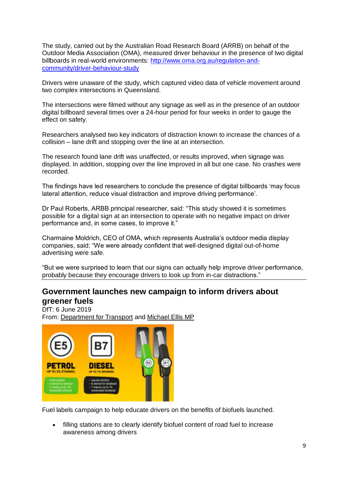The study, carried out by the Australian Road Research Board (ARRB) on behalf of the Outdoor Media Association (OMA), measured driver behaviour in the presence of two digital billboards in real-world environments: [http://www.oma.org.au/regulation-and](http://www.oma.org.au/regulation-and-community/driver-behaviour-study)[community/driver-behaviour-study](http://www.oma.org.au/regulation-and-community/driver-behaviour-study)

Drivers were unaware of the study, which captured video data of vehicle movement around two complex intersections in Queensland.

The intersections were filmed without any signage as well as in the presence of an outdoor digital billboard several times over a 24-hour period for four weeks in order to gauge the effect on safety.

Researchers analysed two key indicators of distraction known to increase the chances of a collision – lane drift and stopping over the line at an intersection.

The research found lane drift was unaffected, or results improved, when signage was displayed. In addition, stopping over the line improved in all but one case. No crashes were recorded.

The findings have led researchers to conclude the presence of digital billboards "may focus lateral attention, reduce visual distraction and improve driving performance".

Dr Paul Roberts, ARBB principal researcher, said: "This study showed it is sometimes possible for a digital sign at an intersection to operate with no negative impact on driver performance and, in some cases, to improve it."

Charmaine Moldrich, CEO of OMA, which represents Australia"s outdoor media display companies, said: "We were already confident that well-designed digital out-of-home advertising were safe.

"But we were surprised to learn that our signs can actually help improve driver performance, probably because they encourage drivers to look up from in-car distractions."

# **Government launches new campaign to inform drivers about greener fuels**

DfT: 6 June 2019 From: [Department for Transport](https://www.gov.uk/government/organisations/department-for-transport) and [Michael Ellis MP](https://www.gov.uk/government/people/michael-ellis)



Fuel labels campaign to help educate drivers on the benefits of biofuels launched.

 filling stations are to clearly identify biofuel content of road fuel to increase awareness among drivers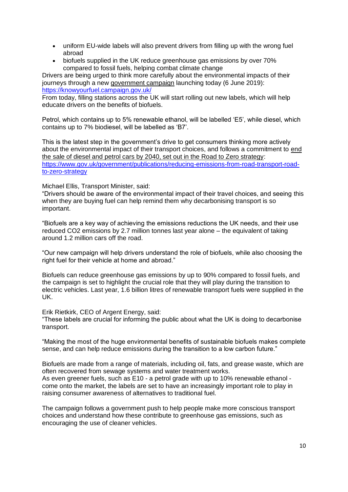- uniform EU-wide labels will also prevent drivers from filling up with the wrong fuel abroad
- biofuels supplied in the UK reduce greenhouse gas emissions by over 70% compared to fossil fuels, helping combat climate change

Drivers are being urged to think more carefully about the environmental impacts of their journeys through a new [government campaign](https://knowyourfuel.campaign.gov.uk/) launching today (6 June 2019): <https://knowyourfuel.campaign.gov.uk/>

From today, filling stations across the UK will start rolling out new labels, which will help educate drivers on the benefits of biofuels.

Petrol, which contains up to 5% renewable ethanol, will be labelled "E5", while diesel, which contains up to 7% biodiesel, will be labelled as "B7".

This is the latest step in the government"s drive to get consumers thinking more actively about the environmental impact of their transport choices, and follows a commitment to [end](https://www.gov.uk/government/publications/reducing-emissions-from-road-transport-road-to-zero-strategy)  [the sale of diesel and petrol cars by 2040, set out in the Road to Zero strategy:](https://www.gov.uk/government/publications/reducing-emissions-from-road-transport-road-to-zero-strategy) [https://www.gov.uk/government/publications/reducing-emissions-from-road-transport-road](https://www.gov.uk/government/publications/reducing-emissions-from-road-transport-road-to-zero-strategy)[to-zero-strategy](https://www.gov.uk/government/publications/reducing-emissions-from-road-transport-road-to-zero-strategy)

Michael Ellis, Transport Minister, said:

"Drivers should be aware of the environmental impact of their travel choices, and seeing this when they are buying fuel can help remind them why decarbonising transport is so important.

"Biofuels are a key way of achieving the emissions reductions the UK needs, and their use reduced CO2 emissions by 2.7 million tonnes last year alone – the equivalent of taking around 1.2 million cars off the road.

"Our new campaign will help drivers understand the role of biofuels, while also choosing the right fuel for their vehicle at home and abroad."

Biofuels can reduce greenhouse gas emissions by up to 90% compared to fossil fuels, and the campaign is set to highlight the crucial role that they will play during the transition to electric vehicles. Last year, 1.6 billion litres of renewable transport fuels were supplied in the UK.

Erik Rietkirk, CEO of Argent Energy, said:

"These labels are crucial for informing the public about what the UK is doing to decarbonise transport.

"Making the most of the huge environmental benefits of sustainable biofuels makes complete sense, and can help reduce emissions during the transition to a low carbon future."

Biofuels are made from a range of materials, including oil, fats, and grease waste, which are often recovered from sewage systems and water treatment works. As even greener fuels, such as E10 - a petrol grade with up to 10% renewable ethanol come onto the market, the labels are set to have an increasingly important role to play in raising consumer awareness of alternatives to traditional fuel.

The campaign follows a government push to help people make more conscious transport choices and understand how these contribute to greenhouse gas emissions, such as encouraging the use of cleaner vehicles.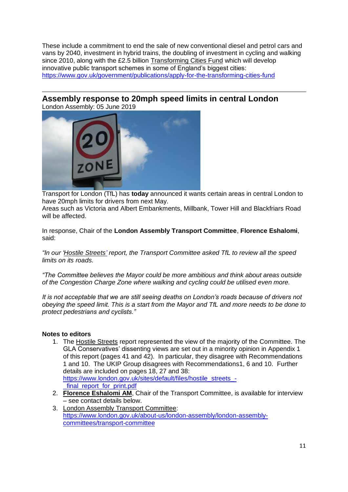These include a commitment to end the sale of new conventional diesel and petrol cars and vans by 2040, investment in hybrid trains, the doubling of investment in cycling and walking since 2010, along with the £2.5 billion [Transforming Cities Fund](https://www.gov.uk/government/publications/apply-for-the-transforming-cities-fund) which will develop innovative public transport schemes in some of England's biggest cities: <https://www.gov.uk/government/publications/apply-for-the-transforming-cities-fund>

# **Assembly response to 20mph speed limits in central London**

London Assembly: 05 June 2019



Transport for London (TfL) has **today** announced it wants certain areas in central London to have 20mph limits for drivers from next May.

Areas such as Victoria and Albert Embankments, Millbank, Tower Hill and Blackfriars Road will be affected.

In response, Chair of the **London Assembly Transport Committee**, **Florence Eshalomi**, said:

*"In our ["Hostile Streets"](https://www.london.gov.uk/about-us/london-assembly/london-assembly-publications/outer-london-junctions) report, the Transport Committee asked TfL to review all the speed limits on its roads.*

*"The Committee believes the Mayor could be more ambitious and think about areas outside of the Congestion Charge Zone where walking and cycling could be utilised even more.*

*It is not acceptable that we are still seeing deaths on London"s roads because of drivers not obeying the speed limit. This is a start from the Mayor and TfL and more needs to be done to protect pedestrians and cyclists."*

#### **Notes to editors**

- 1. The [Hostile Streets](https://www.london.gov.uk/sites/default/files/hostile_streets_-_final_report_for_print.pdf) report represented the view of the majority of the Committee. The GLA Conservatives" dissenting views are set out in a minority opinion in Appendix 1 of this report (pages 41 and 42). In particular, they disagree with Recommendations 1 and 10. The UKIP Group disagrees with Recommendations1, 6 and 10. Further details are included on pages 18, 27 and 38: [https://www.london.gov.uk/sites/default/files/hostile\\_streets\\_-](https://www.london.gov.uk/sites/default/files/hostile_streets_-_final_report_for_print.pdf) [\\_final\\_report\\_for\\_print.pdf](https://www.london.gov.uk/sites/default/files/hostile_streets_-_final_report_for_print.pdf)
- 2. **[Florence Eshalomi AM](https://www.london.gov.uk/people/assembly/florence-eshalomi)**, Chair of the Transport Committee, is available for interview – see contact details below.
- 3. [London Assembly Transport Committee:](https://www.london.gov.uk/about-us/london-assembly/london-assembly-committees/transport-committee) [https://www.london.gov.uk/about-us/london-assembly/london-assembly](https://www.london.gov.uk/about-us/london-assembly/london-assembly-committees/transport-committee)[committees/transport-committee](https://www.london.gov.uk/about-us/london-assembly/london-assembly-committees/transport-committee)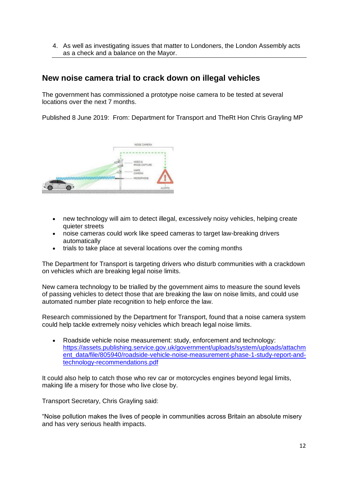4. As well as investigating issues that matter to Londoners, the London Assembly acts as a check and a balance on the Mayor.

## **New noise camera trial to crack down on illegal vehicles**

The government has commissioned a prototype noise camera to be tested at several locations over the next 7 months.

Published 8 June 2019: From: [Department for Transport](https://www.gov.uk/government/organisations/department-for-transport) and [TheRt Hon Chris Grayling MP](https://www.gov.uk/government/people/chris-grayling)



- new technology will aim to detect illegal, excessively noisy vehicles, helping create quieter streets
- noise cameras could work like speed cameras to target law-breaking drivers automatically
- trials to take place at several locations over the coming months

The Department for Transport is targeting drivers who disturb communities with a crackdown on vehicles which are breaking legal noise limits.

New camera technology to be trialled by the government aims to measure the sound levels of passing vehicles to detect those that are breaking the law on noise limits, and could use automated number plate recognition to help enforce the law.

Research commissioned by the Department for Transport, found that a noise camera system could help tackle extremely noisy vehicles which breach legal noise limits.

 [Roadside vehicle noise measurement: study, enforcement and technology:](https://www.gov.uk/government/publications/roadside-vehicle-noise-measurement-study-enforcement-and-technology) [https://assets.publishing.service.gov.uk/government/uploads/system/uploads/attachm](https://assets.publishing.service.gov.uk/government/uploads/system/uploads/attachment_data/file/805940/roadside-vehicle-noise-measurement-phase-1-study-report-and-technology-recommendations.pdf) [ent\\_data/file/805940/roadside-vehicle-noise-measurement-phase-1-study-report-and](https://assets.publishing.service.gov.uk/government/uploads/system/uploads/attachment_data/file/805940/roadside-vehicle-noise-measurement-phase-1-study-report-and-technology-recommendations.pdf)[technology-recommendations.pdf](https://assets.publishing.service.gov.uk/government/uploads/system/uploads/attachment_data/file/805940/roadside-vehicle-noise-measurement-phase-1-study-report-and-technology-recommendations.pdf)

It could also help to catch those who rev car or motorcycles engines beyond legal limits, making life a misery for those who live close by.

Transport Secretary, Chris Grayling said:

"Noise pollution makes the lives of people in communities across Britain an absolute misery and has very serious health impacts.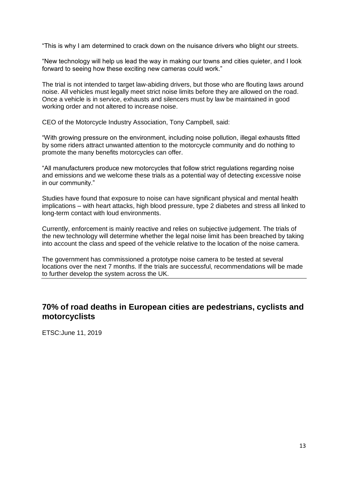"This is why I am determined to crack down on the nuisance drivers who blight our streets.

"New technology will help us lead the way in making our towns and cities quieter, and I look forward to seeing how these exciting new cameras could work."

The trial is not intended to target law-abiding drivers, but those who are flouting laws around noise. All vehicles must legally meet strict noise limits before they are allowed on the road. Once a vehicle is in service, exhausts and silencers must by law be maintained in good working order and not altered to increase noise.

CEO of the Motorcycle Industry Association, Tony Campbell, said:

"With growing pressure on the environment, including noise pollution, illegal exhausts fitted by some riders attract unwanted attention to the motorcycle community and do nothing to promote the many benefits motorcycles can offer.

"All manufacturers produce new motorcycles that follow strict regulations regarding noise and emissions and we welcome these trials as a potential way of detecting excessive noise in our community."

Studies have found that exposure to noise can have significant physical and mental health implications – with heart attacks, high blood pressure, type 2 diabetes and stress all linked to long-term contact with loud environments.

Currently, enforcement is mainly reactive and relies on subjective judgement. The trials of the new technology will determine whether the legal noise limit has been breached by taking into account the class and speed of the vehicle relative to the location of the noise camera.

The government has commissioned a prototype noise camera to be tested at several locations over the next 7 months. If the trials are successful, recommendations will be made to further develop the system across the UK.

# **70% of road deaths in European cities are pedestrians, cyclists and motorcyclists**

ETSC:June 11, 2019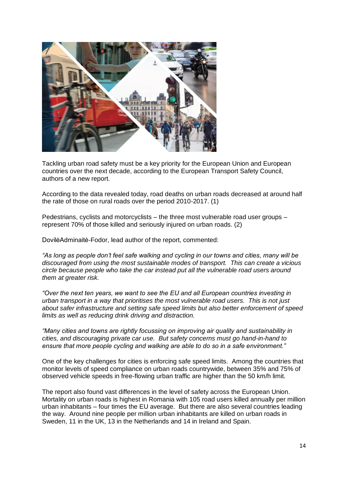

Tackling urban road safety must be a key priority for the European Union and European countries over the next decade, according to the European Transport Safety Council, authors of a new report.

According to the data revealed today, road deaths on urban roads decreased at around half the rate of those on rural roads over the period 2010-2017. (1)

Pedestrians, cyclists and motorcyclists – the three most vulnerable road user groups – represent 70% of those killed and seriously injured on urban roads. (2)

DovilėAdminaitė-Fodor, lead author of the report, commented:

*"As long as people don"t feel safe walking and cycling in our towns and cities, many will be discouraged from using the most sustainable modes of transport. This can create a vicious circle because people who take the car instead put all the vulnerable road users around them at greater risk.*

*"Over the next ten years, we want to see the EU and all European countries investing in urban transport in a way that prioritises the most vulnerable road users. This is not just about safer infrastructure and setting safe speed limits but also better enforcement of speed limits as well as reducing drink driving and distraction.* 

*"Many cities and towns are rightly focussing on improving air quality and sustainability in cities, and discouraging private car use. But safety concerns must go hand-in-hand to ensure that more people cycling and walking are able to do so in a safe environment."*

One of the key challenges for cities is enforcing safe speed limits. Among the countries that monitor levels of speed compliance on urban roads countrywide, between 35% and 75% of observed vehicle speeds in free-flowing urban traffic are higher than the 50 km/h limit.

The report also found vast differences in the level of safety across the European Union. Mortality on urban roads is highest in Romania with 105 road users killed annually per million urban inhabitants – four times the EU average. But there are also several countries leading the way. Around nine people per million urban inhabitants are killed on urban roads in Sweden, 11 in the UK, 13 in the Netherlands and 14 in Ireland and Spain.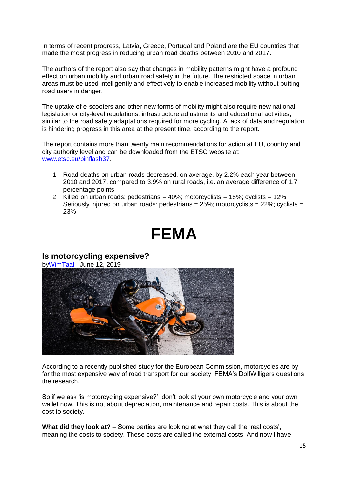In terms of recent progress, Latvia, Greece, Portugal and Poland are the EU countries that made the most progress in reducing urban road deaths between 2010 and 2017.

The authors of the report also say that changes in mobility patterns might have a profound effect on urban mobility and urban road safety in the future. The restricted space in urban areas must be used intelligently and effectively to enable increased mobility without putting road users in danger.

The uptake of e-scooters and other new forms of mobility might also require new national legislation or city-level regulations, infrastructure adjustments and educational activities, similar to the road safety adaptations required for more cycling. A lack of data and regulation is hindering progress in this area at the present time, according to the report.

The report contains more than twenty main recommendations for action at EU, country and city authority level and can be downloaded from the ETSC website at: [www.etsc.eu/pinflash37.](http://www.etsc.eu/pinflash37)

- 1. Road deaths on urban roads decreased, on average, by 2.2% each year between 2010 and 2017, compared to 3.9% on rural roads, i.e. an average difference of 1.7 percentage points.
- 2. Killed on urban roads: pedestrians =  $40\%$ ; motorcyclists =  $18\%$ ; cyclists =  $12\%$ . Seriously injured on urban roads: pedestrians =  $25\%$ ; motorcyclists =  $22\%$ ; cyclists = 23%

# **FEMA**

#### **Is motorcycling expensive?**

b[yWimTaal](http://www.fema-online.eu/website/index.php/author/wimtaal/) - June 12, 2019



According to a recently published study for the European Commission, motorcycles are by far the most expensive way of road transport for our society. FEMA"s DolfWilligers questions the research.

So if we ask "is motorcycling expensive?", don"t look at your own motorcycle and your own wallet now. This is not about depreciation, maintenance and repair costs. This is about the cost to society.

What did they look at? – Some parties are looking at what they call the 'real costs', meaning the costs to society. These costs are called the external costs. And now I have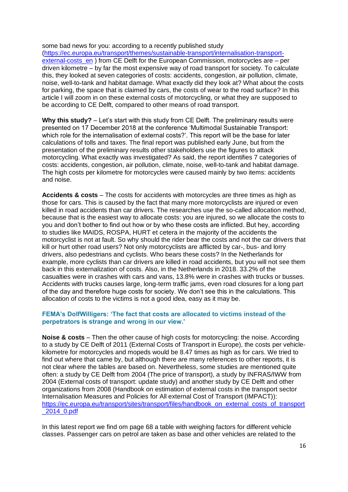some bad news for you: according to a recently published [study](https://ec.europa.eu/transport/themes/sustainable-transport/internalisation-transport-external-costs_en) [\(https://ec.europa.eu/transport/themes/sustainable-transport/internalisation-transport](https://ec.europa.eu/transport/themes/sustainable-transport/internalisation-transport-external-costs_en)external-costs en ) from CE Delft for the European Commission, motorcycles are – per driven kilometre – by far the most expensive way of road transport for society. To calculate this, they looked at seven categories of costs: accidents, congestion, air pollution, climate, noise, well-to-tank and habitat damage. What exactly did they look at? What about the costs for parking, the space that is claimed by cars, the costs of wear to the road surface? In this article I will zoom in on these external costs of motorcycling, or what they are supposed to be according to CE Delft, compared to other means of road transport.

**Why this study?** – Let"s start with this study from CE Delft. The preliminary results were presented on 17 December 2018 at the conference "Multimodal Sustainable Transport: which role for the internalisation of external costs?'. This report will be the base for later calculations of tolls and taxes. The final report was published early June, but from the presentation of the preliminary results other stakeholders use the figures to attack motorcycling. What exactly was investigated? As said, the report identifies 7 categories of costs: accidents, congestion, air pollution, climate, noise, well-to-tank and habitat damage. The high costs per kilometre for motorcycles were caused mainly by two items: accidents and noise.

**Accidents & costs** – The costs for accidents with motorcycles are three times as high as those for cars. This is caused by the fact that many more motorcyclists are injured or even killed in road accidents than car drivers. The researches use the so-called allocation method, because that is the easiest way to allocate costs: you are injured, so we allocate the costs to you and don"t bother to find out how or by who these costs are inflicted. But hey, according to studies like MAIDS, ROSPA, HURT et cetera in the majority of the accidents the motorcyclist is not at fault. So why should the rider bear the costs and not the car drivers that kill or hurt other road users? Not only motorcyclists are afflicted by car-, bus- and lorry drivers, also pedestrians and cyclists. Who bears these costs? In the Netherlands for example, more cyclists than car drivers are killed in road accidents, but you will not see them back in this externalization of costs. Also, in the Netherlands in 2018. 33.2% of the casualties were in crashes with cars and vans, 13.8% were in crashes with trucks or busses. Accidents with trucks causes large, long-term traffic jams, even road closures for a long part of the day and therefore huge costs for society. We don"t see this in the calculations. This allocation of costs to the victims is not a good idea, easy as it may be.

#### **FEMA's DolfWilligers: 'The fact that costs are allocated to victims instead of the perpetrators is strange and wrong in our view.'**

**Noise & costs** – Then the other cause of high costs for motorcycling: the noise. According to a study by CE Delft of 2011 (External Costs of Transport in Europe), the costs per vehiclekilometre for motorcycles and mopeds would be 8.47 times as high as for cars. We tried to find out where that came by, but although there are many references to other reports, it is not clear where the tables are based on. Nevertheless, some studies are mentioned quite often: a study by CE Delft from 2004 (The price of transport), a study by INFRAS/IWW from 2004 (External costs of transport: update study) and another study by CE Delft and other organizations from 2008 [\(Handbook on estimation of external costs in the transport sector](https://ec.europa.eu/transport/sites/transport/files/handbook_on_external_costs_of_transport_2014_0.pdf)  [Internalisation Measures and Policies for All external Cost of Transport \(IMPACT\)\)](https://ec.europa.eu/transport/sites/transport/files/handbook_on_external_costs_of_transport_2014_0.pdf): [https://ec.europa.eu/transport/sites/transport/files/handbook\\_on\\_external\\_costs\\_of\\_transport](https://ec.europa.eu/transport/sites/transport/files/handbook_on_external_costs_of_transport_2014_0.pdf) [\\_2014\\_0.pdf](https://ec.europa.eu/transport/sites/transport/files/handbook_on_external_costs_of_transport_2014_0.pdf)

In this latest report we find om page 68 a table with weighing factors for different vehicle classes. Passenger cars on petrol are taken as base and other vehicles are related to the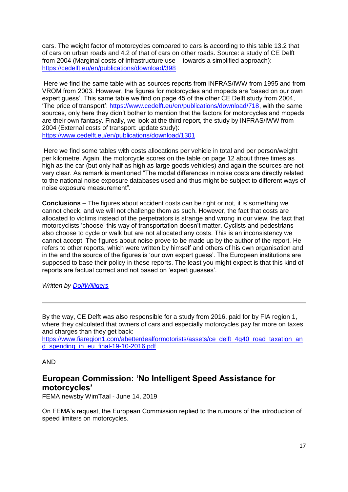cars. The weight factor of motorcycles compared to cars is according to this table 13.2 that of cars on urban roads and 4.2 of that of cars on other roads. Source: a study of CE Delft from 2004 [\(Marginal costs of Infrastructure use –](https://cedelft.eu/en/publications/download/398) towards a simplified approach): <https://cedelft.eu/en/publications/download/398>

Here we find the same table with as sources reports from INFRAS/IWW from 1995 and from VROM from 2003. However, the figures for motorcycles and mopeds are "based on our own expert guess'. This same table we find on page 45 of the other CE Delft study from 2004, ["The price of transport"](https://www.cedelft.eu/en/publications/download/718): [https://www.cedelft.eu/en/publications/download/718,](https://www.cedelft.eu/en/publications/download/718) with the same sources, only here they didn"t bother to mention that the factors for motorcycles and mopeds are their own fantasy. Finally, we look at the third report, the study by INFRAS/IWW from 2004 [\(External costs of transport: update study\)](https://www.cedelft.eu/en/publications/download/1301): <https://www.cedelft.eu/en/publications/download/1301>

Here we find some tables with costs allocations per vehicle in total and per person/weight per kilometre. Again, the motorcycle scores on the table on page 12 about three times as high as the car (but only half as high as large goods vehicles) and again the sources are not very clear. As remark is mentioned "The modal differences in noise costs are directly related to the national noise exposure databases used and thus might be subject to different ways of noise exposure measurement".

**Conclusions** – The figures about accident costs can be right or not, it is something we cannot check, and we will not challenge them as such. However, the fact that costs are allocated to victims instead of the perpetrators is strange and wrong in our view, the fact that motorcyclists "choose" this way of transportation doesn"t matter. Cyclists and pedestrians also choose to cycle or walk but are not allocated any costs. This is an inconsistency we cannot accept. The figures about noise prove to be made up by the author of the report. He refers to other reports, which were written by himself and others of his own organisation and in the end the source of the figures is "our own expert guess". The European institutions are supposed to base their policy in these reports. The least you might expect is that this kind of reports are factual correct and not based on "expert guesses".

*Written by [DolfWilligers](mailto:d.willigers@fema-online.eu)*

By the way, CE Delft was also responsible for a [study](https://www.fiaregion1.com/abetterdealformotorists/assets/ce_delft_4g40_road_taxation_and_spending_in_eu_final-19-10-2016.pdf) from 2016, paid for by FIA region 1, where they calculated that owners of cars and especially motorcycles pay far more on taxes and charges than they get back:

[https://www.fiaregion1.com/abetterdealformotorists/assets/ce\\_delft\\_4g40\\_road\\_taxation\\_an](https://www.fiaregion1.com/abetterdealformotorists/assets/ce_delft_4g40_road_taxation_and_spending_in_eu_final-19-10-2016.pdf) [d\\_spending\\_in\\_eu\\_final-19-10-2016.pdf](https://www.fiaregion1.com/abetterdealformotorists/assets/ce_delft_4g40_road_taxation_and_spending_in_eu_final-19-10-2016.pdf)

#### AND

## **European Commission: 'No Intelligent Speed Assistance for motorcycles'**

FEMA newsby WimTaal - June 14, 2019

On FEMA"s request, the European Commission replied to the rumours of the introduction of speed limiters on motorcycles.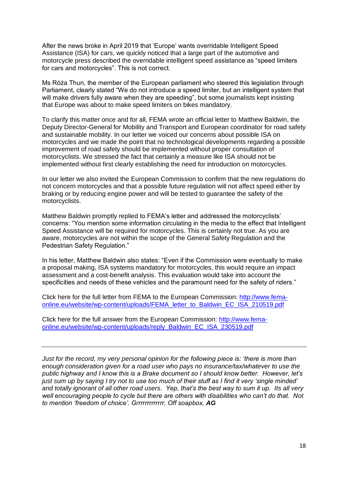After the news broke in April 2019 that "Europe" wants overridable Intelligent Speed Assistance (ISA) for cars, we quickly noticed that a large part of the automotive and motorcycle press described the overridable intelligent speed assistance as "speed limiters for cars and motorcycles". This is not correct.

Ms Róża Thun, the member of the European parliament who steered this legislation through Parliament, clearly stated "We do not introduce a speed limiter, but an intelligent system that will make drivers fully aware when they are speeding", but some journalists kept insisting that Europe was about to make speed limiters on bikes mandatory.

To clarify this matter once and for all, FEMA wrote an official letter to Matthew Baldwin, the Deputy Director-General for Mobility and Transport and European coordinator for road safety and sustainable mobility. In our letter we voiced our concerns about possible ISA on motorcycles and we made the point that no technological developments regarding a possible improvement of road safety should be implemented without proper consultation of motorcyclists. We stressed the fact that certainly a measure like ISA should not be implemented without first clearly establishing the need for introduction on motorcycles.

In our letter we also invited the European Commission to confirm that the new regulations do not concern motorcycles and that a possible future regulation will not affect speed either by braking or by reducing engine power and will be tested to guarantee the safety of the motorcyclists.

Matthew Baldwin promptly replied to FEMA's letter and addressed the motorcyclists' concerns: "You mention some information circulating in the media to the effect that Intelligent Speed Assistance will be required for motorcycles. This is certainly not true. As you are aware, motorcycles are not within the scope of the General Safety Regulation and the Pedestrian Safety Regulation."

In his letter, Matthew Baldwin also states: "Even if the Commission were eventually to make a proposal making, ISA systems mandatory for motorcycles, this would require an impact assessment and a cost-benefit analysis. This evaluation would take into account the specificities and needs of these vehicles and the paramount need for the safety of riders."

Click here for the full letter from FEMA to the European Commission: [http://www.fema](http://www.fema-online.eu/website/wp-content/uploads/FEMA_letter_to_Baldwin_EC_ISA_210519.pdf)[online.eu/website/wp-content/uploads/FEMA\\_letter\\_to\\_Baldwin\\_EC\\_ISA\\_210519.pdf](http://www.fema-online.eu/website/wp-content/uploads/FEMA_letter_to_Baldwin_EC_ISA_210519.pdf)

Click here for the full answer from the European Commission: [http://www.fema](http://www.fema-online.eu/website/wp-content/uploads/reply_Baldwin_EC_ISA_230519.pdf)[online.eu/website/wp-content/uploads/reply\\_Baldwin\\_EC\\_ISA\\_230519.pdf](http://www.fema-online.eu/website/wp-content/uploads/reply_Baldwin_EC_ISA_230519.pdf)

*Just for the record, my very personal opinion for the following piece is: "there is more than enough consideration given for a road user who pays no insurance/tax/whatever to use the public highway and I know this is a Brake document so I should know better. However, let"s just sum up by saying I try not to use too much of their stuff as I find it very "single minded" and totally ignorant of all other road users. Yep, that"s the best way to sum it up. Its all very well encouraging people to cycle but there are others with disabilities who can"t do that. Not to mention "freedom of choice". Grrrrrrrrrrrrr, Off soapbox, AG*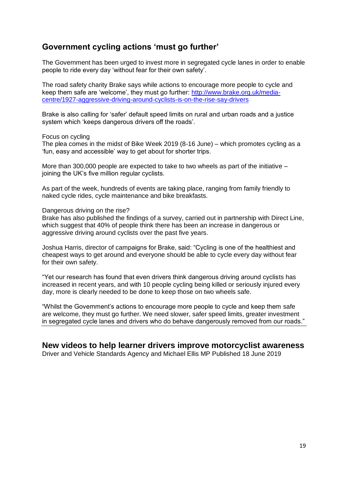# **Government cycling actions 'must go further'**

The Government has been urged to invest more in segregated cycle lanes in order to enable people to ride every day "without fear for their own safety".

The road safety charity Brake says while actions to encourage more people to cycle and keep them safe are 'welcome', they must go further: [http://www.brake.org.uk/media](http://www.brake.org.uk/media-centre/1927-aggressive-driving-around-cyclists-is-on-the-rise-say-drivers)[centre/1927-aggressive-driving-around-cyclists-is-on-the-rise-say-drivers](http://www.brake.org.uk/media-centre/1927-aggressive-driving-around-cyclists-is-on-the-rise-say-drivers)

Brake is also calling for "safer" default speed limits on rural and urban roads and a justice system which "keeps dangerous drivers off the roads".

Focus on cycling

The plea comes in the midst of Bike Week 2019 (8-16 June) – which promotes cycling as a "fun, easy and accessible" way to get about for shorter trips.

More than 300,000 people are expected to take to two wheels as part of the initiative – joining the UK"s five million regular cyclists.

As part of the week, hundreds of events are taking place, ranging from family friendly to naked cycle rides, cycle maintenance and bike breakfasts.

Dangerous driving on the rise?

Brake has also published the findings of a survey, carried out in partnership with Direct Line, which suggest that 40% of people think there has been an increase in dangerous or aggressive driving around cyclists over the past five years.

Joshua Harris, director of campaigns for Brake, said: "Cycling is one of the healthiest and cheapest ways to get around and everyone should be able to cycle every day without fear for their own safety.

"Yet our research has found that even drivers think dangerous driving around cyclists has increased in recent years, and with 10 people cycling being killed or seriously injured every day, more is clearly needed to be done to keep those on two wheels safe.

"Whilst the Government"s actions to encourage more people to cycle and keep them safe are welcome, they must go further. We need slower, safer speed limits, greater investment in segregated cycle lanes and drivers who do behave dangerously removed from our roads."

#### **New videos to help learner drivers improve motorcyclist awareness**

[Driver and Vehicle Standards Agency](https://www.gov.uk/government/organisations/driver-and-vehicle-standards-agency) and [Michael Ellis MP](https://www.gov.uk/government/people/michael-ellis) Published 18 June 2019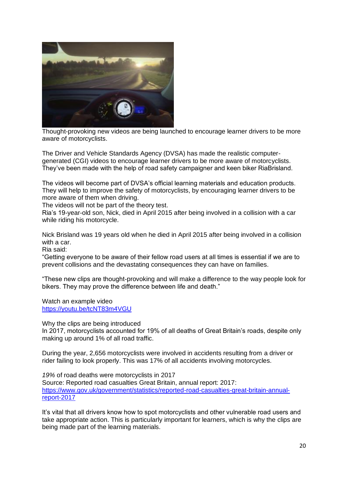

Thought-provoking new videos are being launched to encourage learner drivers to be more aware of motorcyclists.

The Driver and Vehicle Standards Agency (DVSA) has made the realistic computergenerated (CGI) videos to encourage learner drivers to be more aware of motorcyclists. They"ve been made with the help of road safety campaigner and keen biker RiaBrisland.

The videos will become part of DVSA"s official learning materials and education products. They will help to improve the safety of motorcyclists, by encouraging learner drivers to be more aware of them when driving.

The videos will not be part of the theory test.

Ria"s 19-year-old son, Nick, died in April 2015 after being involved in a collision with a car while riding his motorcycle.

Nick Brisland was 19 years old when he died in April 2015 after being involved in a collision with a car.

Ria said:

"Getting everyone to be aware of their fellow road users at all times is essential if we are to prevent collisions and the devastating consequences they can have on families.

"These new clips are thought-provoking and will make a difference to the way people look for bikers. They may prove the difference between life and death."

Watch an example video <https://youtu.be/tcNT83m4VGU>

Why the clips are being introduced

In 2017, motorcyclists accounted for 19% of all deaths of Great Britain"s roads, despite only making up around 1% of all road traffic.

During the year, 2,656 motorcyclists were involved in accidents resulting from a driver or rider failing to look properly. This was 17% of all accidents involving motorcycles.

*19%* of road deaths were motorcyclists in 2017 Source: [Reported road casualties Great Britain, annual report: 2017:](https://www.gov.uk/government/statistics/reported-road-casualties-great-britain-annual-report-2017) [https://www.gov.uk/government/statistics/reported-road-casualties-great-britain-annual](https://www.gov.uk/government/statistics/reported-road-casualties-great-britain-annual-report-2017)[report-2017](https://www.gov.uk/government/statistics/reported-road-casualties-great-britain-annual-report-2017)

It"s vital that all drivers know how to spot motorcyclists and other vulnerable road users and take appropriate action. This is particularly important for learners, which is why the clips are being made part of the learning materials.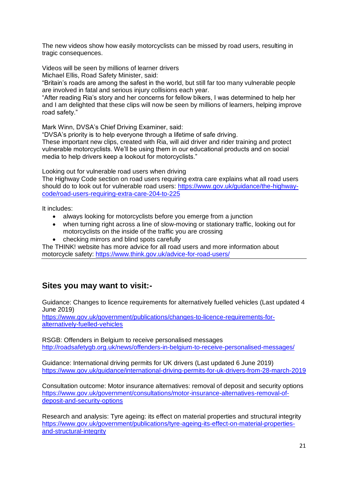The new videos show how easily motorcyclists can be missed by road users, resulting in tragic consequences.

Videos will be seen by millions of learner drivers

Michael Ellis, Road Safety Minister, said:

"Britain"s roads are among the safest in the world, but still far too many vulnerable people are involved in fatal and serious injury collisions each year.

"After reading Ria"s story and her concerns for fellow bikers, I was determined to help her and I am delighted that these clips will now be seen by millions of learners, helping improve road safety."

Mark Winn, DVSA"s Chief Driving Examiner, said:

"DVSA"s priority is to help everyone through a lifetime of safe driving.

These important new clips, created with Ria, will aid driver and rider training and protect vulnerable motorcyclists. We"ll be using them in our educational products and on social media to help drivers keep a lookout for motorcyclists."

Looking out for vulnerable road users when driving

[The Highway Code section on road users requiring extra care](https://www.gov.uk/guidance/the-highway-code/road-users-requiring-extra-care-204-to-225) explains what all road users should do to look out for vulnerable road users: [https://www.gov.uk/guidance/the-highway](https://www.gov.uk/guidance/the-highway-code/road-users-requiring-extra-care-204-to-225)[code/road-users-requiring-extra-care-204-to-225](https://www.gov.uk/guidance/the-highway-code/road-users-requiring-extra-care-204-to-225)

It includes:

- always looking for motorcyclists before you emerge from a junction
- when turning right across a line of slow-moving or stationary traffic, looking out for motorcyclists on the inside of the traffic you are crossing
- checking mirrors and blind spots carefully

The THINK! website has [more advice for all road users](https://www.think.gov.uk/advice-for-road-users/) and more information about [motorcycle safety:](https://www.think.gov.uk/campaign/motorcycling/)<https://www.think.gov.uk/advice-for-road-users/>

# **Sites you may want to visit:-**

Guidance: Changes to licence requirements for alternatively fuelled vehicles (Last updated 4 June 2019)

[https://www.gov.uk/government/publications/changes-to-licence-requirements-for](https://www.gov.uk/government/publications/changes-to-licence-requirements-for-alternatively-fuelled-vehicles)[alternatively-fuelled-vehicles](https://www.gov.uk/government/publications/changes-to-licence-requirements-for-alternatively-fuelled-vehicles)

RSGB: Offenders in Belgium to receive personalised messages <http://roadsafetygb.org.uk/news/offenders-in-belgium-to-receive-personalised-messages/>

Guidance: International driving permits for UK drivers (Last updated 6 June 2019) <https://www.gov.uk/guidance/international-driving-permits-for-uk-drivers-from-28-march-2019>

Consultation outcome: Motor insurance alternatives: removal of deposit and security options [https://www.gov.uk/government/consultations/motor-insurance-alternatives-removal-of](https://www.gov.uk/government/consultations/motor-insurance-alternatives-removal-of-deposit-and-security-options)[deposit-and-security-options](https://www.gov.uk/government/consultations/motor-insurance-alternatives-removal-of-deposit-and-security-options)

Research and analysis: Tyre ageing: its effect on material properties and structural integrity [https://www.gov.uk/government/publications/tyre-ageing-its-effect-on-material-properties](https://www.gov.uk/government/publications/tyre-ageing-its-effect-on-material-properties-and-structural-integrity)[and-structural-integrity](https://www.gov.uk/government/publications/tyre-ageing-its-effect-on-material-properties-and-structural-integrity)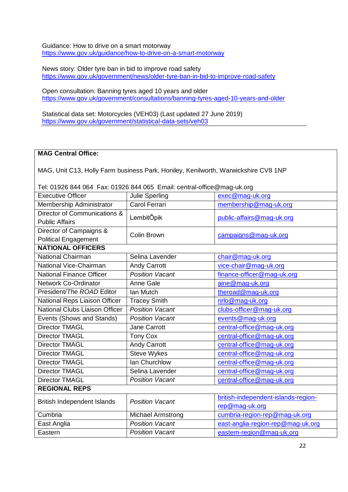Guidance: How to drive on a smart motorway <https://www.gov.uk/guidance/how-to-drive-on-a-smart-motorway>

News story: Older tyre ban in bid to improve road safety <https://www.gov.uk/government/news/older-tyre-ban-in-bid-to-improve-road-safety>

Open consultation: Banning tyres aged 10 years and older <https://www.gov.uk/government/consultations/banning-tyres-aged-10-years-and-older>

Statistical data set: Motorcycles (VEH03) (Last updated 27 June 2019) <https://www.gov.uk/government/statistical-data-sets/veh03>

#### **MAG Central Office:**

MAG, Unit C13, Holly Farm business Park, Honiley, Kenilworth, Warwickshire CV8 1NP

Tel: 01926 844 064 Fax: 01926 844 065 Email: central-office@mag-uk.org

| <b>Executive Officer</b>        | Julie Sperling           | exec@mag-uk.org                     |  |  |
|---------------------------------|--------------------------|-------------------------------------|--|--|
| Membership Administrator        | <b>Carol Ferrari</b>     | membership@mag-uk.org               |  |  |
| Director of Communications &    | LembitÖpik               | public-affairs@mag-uk.org           |  |  |
| <b>Public Affairs</b>           |                          |                                     |  |  |
| Director of Campaigns &         | Colin Brown              | campaigns@mag-uk.org                |  |  |
| <b>Political Engagement</b>     |                          |                                     |  |  |
| <b>NATIONAL OFFICERS</b>        |                          |                                     |  |  |
| National Chairman               | Selina Lavender          | chair@mag-uk.org                    |  |  |
| National Vice-Chairman          | <b>Andy Carrott</b>      | vice-chair@mag-uk.org               |  |  |
| <b>National Finance Officer</b> | <b>Position Vacant</b>   | finance-officer@mag-uk.org          |  |  |
| <b>Network Co-Ordinator</b>     | Anne Gale                | aine@mag-uk.org                     |  |  |
| President/The ROAD Editor       | lan Mutch                | theroad@mag-uk.org                  |  |  |
| National Reps Liaison Officer   | <b>Tracey Smith</b>      | nrlo@mag-uk.org                     |  |  |
| National Clubs Liaison Officer  | <b>Position Vacant</b>   | clubs-officer@mag-uk.org            |  |  |
| Events (Shows and Stands)       | <b>Position Vacant</b>   | events@mag-uk.org                   |  |  |
| <b>Director TMAGL</b>           | Jane Carrott             | central-office@mag-uk.org           |  |  |
| <b>Director TMAGL</b>           | <b>Tony Cox</b>          | central-office@mag-uk.org           |  |  |
| <b>Director TMAGL</b>           | <b>Andy Carrott</b>      | central-office@mag-uk.org           |  |  |
| <b>Director TMAGL</b>           | <b>Steve Wykes</b>       | central-office@mag-uk.org           |  |  |
| <b>Director TMAGL</b>           | Ian Churchlow            | central-office@mag-uk.org           |  |  |
| <b>Director TMAGL</b>           | Selina Lavender          | central-office@mag-uk.org           |  |  |
| <b>Director TMAGL</b>           | <b>Position Vacant</b>   | central-office@mag-uk.org           |  |  |
| <b>REGIONAL REPS</b>            |                          |                                     |  |  |
| British Independent Islands     | <b>Position Vacant</b>   | british-independent-islands-region- |  |  |
|                                 |                          | rep@mag-uk.org                      |  |  |
| Cumbria                         | <b>Michael Armstrong</b> | cumbria-region-rep@mag-uk.org       |  |  |
| East Anglia                     | <b>Position Vacant</b>   | east-anglia-region-rep@mag-uk.org   |  |  |
| Eastern                         | <b>Position Vacant</b>   | eastern-region@mag-uk.org           |  |  |